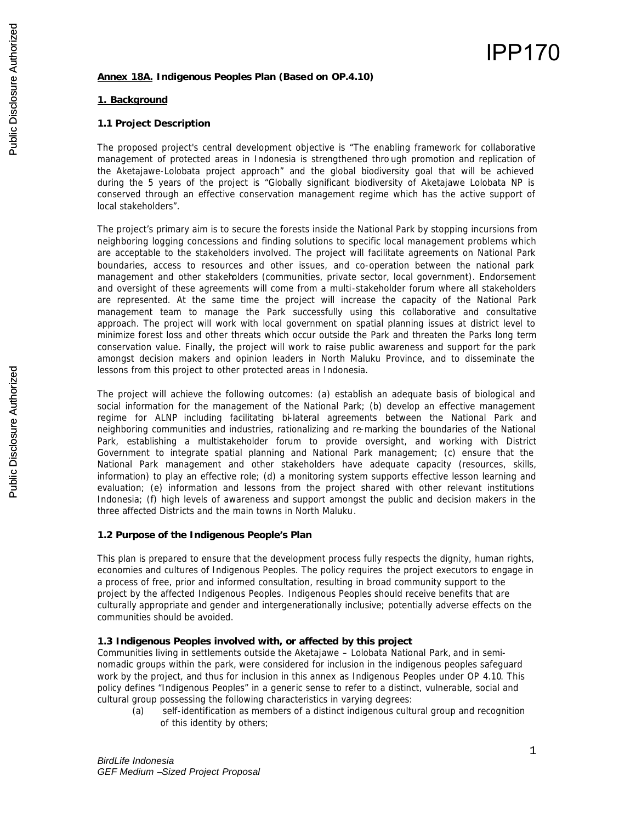# **Annex 18A. Indigenous Peoples Plan (Based on OP.4.10)**

# **1. Background**

# **1.1 Project Description**

The proposed project's central development objective is "The enabling framework for collaborative management of protected areas in Indonesia is strengthened thro ugh promotion and replication of the Aketajawe-Lolobata project approach" and the global biodiversity goal that will be achieved during the 5 years of the project is "Globally significant biodiversity of Aketajawe Lolobata NP is conserved through an effective conservation management regime which has the active support of local stakeholders".

The project's primary aim is to secure the forests inside the National Park by stopping incursions from neighboring logging concessions and finding solutions to specific local management problems which are acceptable to the stakeholders involved. The project will facilitate agreements on National Park boundaries, access to resources and other issues, and co-operation between the national park management and other stakeholders (communities, private sector, local government). Endorsement and oversight of these agreements will come from a multi-stakeholder forum where all stakeholders are represented. At the same time the project will increase the capacity of the National Park management team to manage the Park successfully using this collaborative and consultative approach. The project will work with local government on spatial planning issues at district level to minimize forest loss and other threats which occur outside the Park and threaten the Parks long term conservation value. Finally, the project will work to raise public awareness and support for the park amongst decision makers and opinion leaders in North Maluku Province, and to disseminate the lessons from this project to other protected areas in Indonesia.

The project will achieve the following outcomes: (a) establish an adequate basis of biological and social information for the management of the National Park; (b) develop an effective management regime for ALNP including facilitating bi-lateral agreements between the National Park and neighboring communities and industries, rationalizing and re-marking the boundaries of the National Park, establishing a multistakeholder forum to provide oversight, and working with District Government to integrate spatial planning and National Park management; (c) ensure that the National Park management and other stakeholders have adequate capacity (resources, skills, information) to play an effective role; (d) a monitoring system supports effective lesson learning and evaluation; (e) information and lessons from the project shared with other relevant institutions Indonesia; (f) high levels of awareness and support amongst the public and decision makers in the three affected Districts and the main towns in North Maluku.

### **1.2 Purpose of the Indigenous People's Plan**

This plan is prepared to ensure that the development process fully respects the dignity, human rights, economies and cultures of Indigenous Peoples. The policy requires the project executors to engage in a process of free, prior and informed consultation, resulting in broad community support to the project by the affected Indigenous Peoples. Indigenous Peoples should receive benefits that are culturally appropriate and gender and intergenerationally inclusive; potentially adverse effects on the communities should be avoided.

### **1.3 Indigenous Peoples involved with, or affected by this project**

Communities living in settlements outside the Aketajawe – Lolobata National Park, and in seminomadic groups within the park, were considered for inclusion in the indigenous peoples safeguard work by the project, and thus for inclusion in this annex as Indigenous Peoples under OP 4.10. This policy defines "Indigenous Peoples" in a generic sense to refer to a distinct, vulnerable, social and cultural group possessing the following characteristics in varying degrees:

(a) self-identification as members of a distinct indigenous cultural group and recognition of this identity by others;

IPP170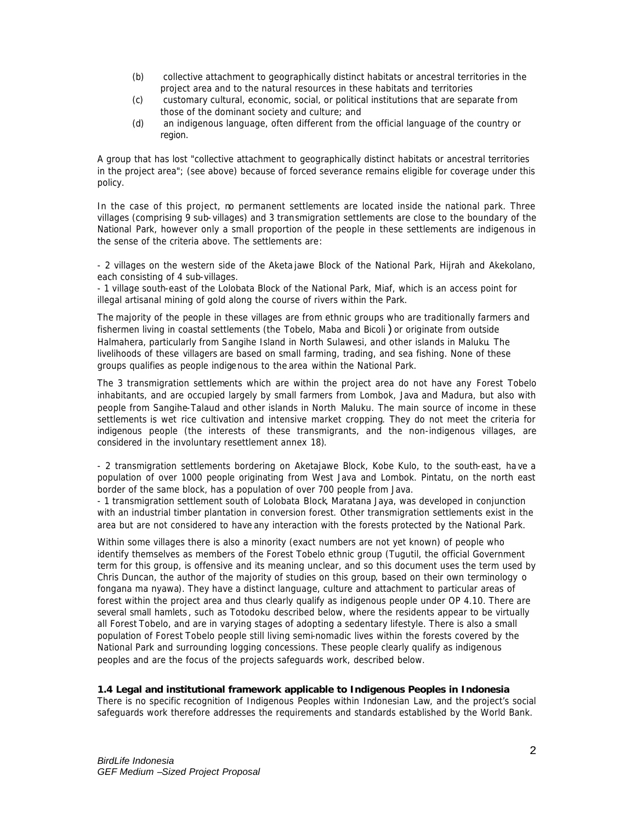- (b) collective attachment to geographically distinct habitats or ancestral territories in the project area and to the natural resources in these habitats and territories
- (c) customary cultural, economic, social, or political institutions that are separate from those of the dominant society and culture; and
- (d) an indigenous language, often different from the official language of the country or region.

A group that has lost "collective attachment to geographically distinct habitats or ancestral territories in the project area"; (see above) because of forced severance remains eligible for coverage under this policy.

In the case of this project, no permanent settlements are located inside the national park. Three villages (comprising 9 sub- villages) and 3 transmigration settlements are close to the boundary of the National Park, however only a small proportion of the people in these settlements are indigenous in the sense of the criteria above. The settlements are:

- 2 villages on the western side of the Aketa jawe Block of the National Park, Hijrah and Akekolano, each consisting of 4 sub-villages.

- 1 village south-east of the Lolobata Block of the National Park, Miaf, which is an access point for illegal artisanal mining of gold along the course of rivers within the Park.

The majority of the people in these villages are from ethnic groups who are traditionally farmers and fishermen living in coastal settlements (the Tobelo, Maba and Bicoli) or originate from outside Halmahera, particularly from Sangihe Island in North Sulawesi, and other islands in Maluku. The livelihoods of these villagers are based on small farming, trading, and sea fishing. None of these groups qualifies as people indigenous to the area within the National Park.

The 3 transmigration settlements which are within the project area do not have any Forest Tobelo inhabitants, and are occupied largely by small farmers from Lombok, Java and Madura, but also with people from Sangihe-Talaud and other islands in North Maluku. The main source of income in these settlements is wet rice cultivation and intensive market cropping. They do not meet the criteria for indigenous people (the interests of these transmigrants, and the non-indigenous villages, are considered in the involuntary resettlement annex 18).

- 2 transmigration settlements bordering on Aketajawe Block, Kobe Kulo, to the south-east, ha ve a population of over 1000 people originating from West Java and Lombok. Pintatu, on the north east border of the same block, has a population of over 700 people from Java.

- 1 transmigration settlement south of Lolobata Block, Maratana Jaya, was developed in conjunction with an industrial timber plantation in conversion forest. Other transmigration settlements exist in the area but are not considered to have any interaction with the forests protected by the National Park.

Within some villages there is also a minority (exact numbers are not yet known) of people who identify themselves as members of the Forest Tobelo ethnic group (Tugutil, the official Government term for this group, is offensive and its meaning unclear, and so this document uses the term used by Chris Duncan, the author of the majority of studies on this group, based on their own terminology *o fongana ma nyawa*). They have a distinct language, culture and attachment to particular areas of forest within the project area and thus clearly qualify as indigenous people under OP 4.10. There are several small hamlets , such as Totodoku described below, where the residents appear to be virtually all Forest Tobelo, and are in varying stages of adopting a sedentary lifestyle. There is also a small population of Forest Tobelo people still living semi-nomadic lives within the forests covered by the National Park and surrounding logging concessions. These people clearly qualify as indigenous peoples and are the focus of the projects safeguards work, described below.

### **1.4 Legal and institutional framework applicable to Indigenous Peoples in Indonesia**

There is no specific recognition of Indigenous Peoples within Indonesian Law, and the project's social safeguards work therefore addresses the requirements and standards established by the World Bank.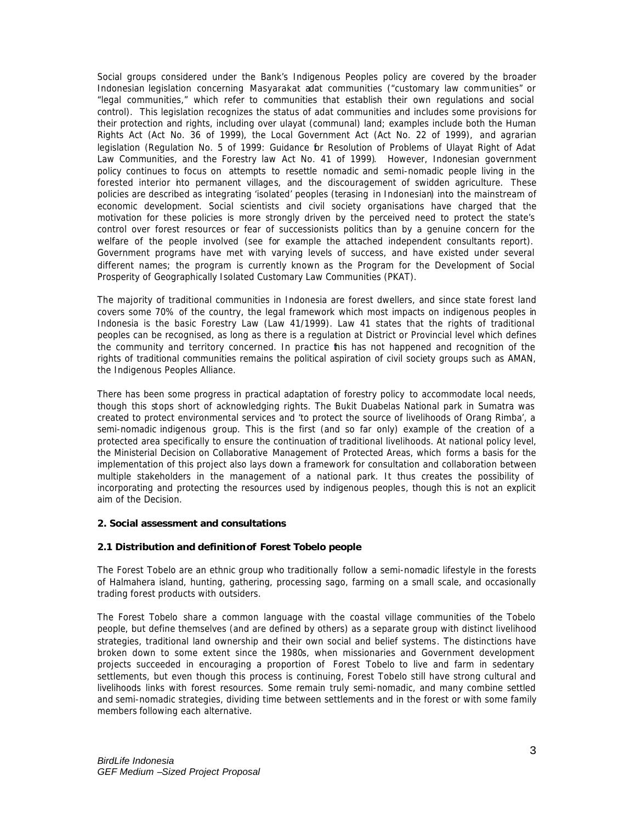Social groups considered under the Bank's Indigenous Peoples policy are covered by the broader Indonesian legislation concerning *Masyarakat adat* communities ("customary law communities" or "legal communities," which refer to communities that establish their own regulations and social control). This legislation recognizes the status of adat communities and includes some provisions for their protection and rights, including over ulayat (communal) land; examples include both the Human Rights Act (Act No. 36 of 1999), the Local Government Act (Act No. 22 of 1999), and agrarian legislation (Regulation No. 5 of 1999: Guidance for Resolution of Problems of Ulayat Right of Adat Law Communities, and the Forestry law Act No. 41 of 1999). However, Indonesian government policy continues to focus on attempts to resettle nomadic and semi-nomadic people living in the forested interior hto permanent villages, and the discouragement of swidden agriculture. These policies are described as integrating 'isolated' peoples (*terasing* in Indonesian) into the mainstream of economic development. Social scientists and civil society organisations have charged that the motivation for these policies is more strongly driven by the perceived need to protect the state's control over forest resources or fear of successionists politics than by a genuine concern for the welfare of the people involved (see for example the attached independent consultants report). Government programs have met with varying levels of success, and have existed under several different names; the program is currently known as the Program for the Development of Social Prosperity of Geographically Isolated Customary Law Communities (PKAT).

The majority of traditional communities in Indonesia are forest dwellers, and since state forest land covers some 70% of the country, the legal framework which most impacts on indigenous peoples in Indonesia is the basic Forestry Law (Law 41/1999). Law 41 states that the rights of traditional peoples can be recognised, as long as there is a regulation at District or Provincial level which defines the community and territory concerned. In practice his has not happened and recognition of the rights of traditional communities remains the political aspiration of civil society groups such as AMAN, the Indigenous Peoples Alliance.

There has been some progress in practical adaptation of forestry policy to accommodate local needs, though this stops short of acknowledging rights. The Bukit Duabelas National park in Sumatra was created to protect environmental services and 'to protect the source of livelihoods of Orang Rimba', a semi-nomadic indigenous group. This is the first (and so far only) example of the creation of a protected area specifically to ensure the continuation of traditional livelihoods. At national policy level, the Ministerial Decision on Collaborative Management of Protected Areas, which forms a basis for the implementation of this project also lays down a framework for consultation and collaboration between multiple stakeholders in the management of a national park. It thus creates the possibility of incorporating and protecting the resources used by indigenous peoples, though this is not an explicit aim of the Decision.

### **2. Social assessment and consultations**

### **2.1 Distribution and definition of Forest Tobelo people**

The Forest Tobelo are an ethnic group who traditionally follow a semi-nomadic lifestyle in the forests of Halmahera island, hunting, gathering, processing sago, farming on a small scale, and occasionally trading forest products with outsiders.

The Forest Tobelo share a common language with the coastal village communities of the Tobelo people, but define themselves (and are defined by others) as a separate group with distinct livelihood strategies, traditional land ownership and their own social and belief systems. The distinctions have broken down to some extent since the 1980s, when missionaries and Government development projects succeeded in encouraging a proportion of Forest Tobelo to live and farm in sedentary settlements, but even though this process is continuing, Forest Tobelo still have strong cultural and livelihoods links with forest resources. Some remain truly semi-nomadic, and many combine settled and semi-nomadic strategies, dividing time between settlements and in the forest or with some family members following each alternative.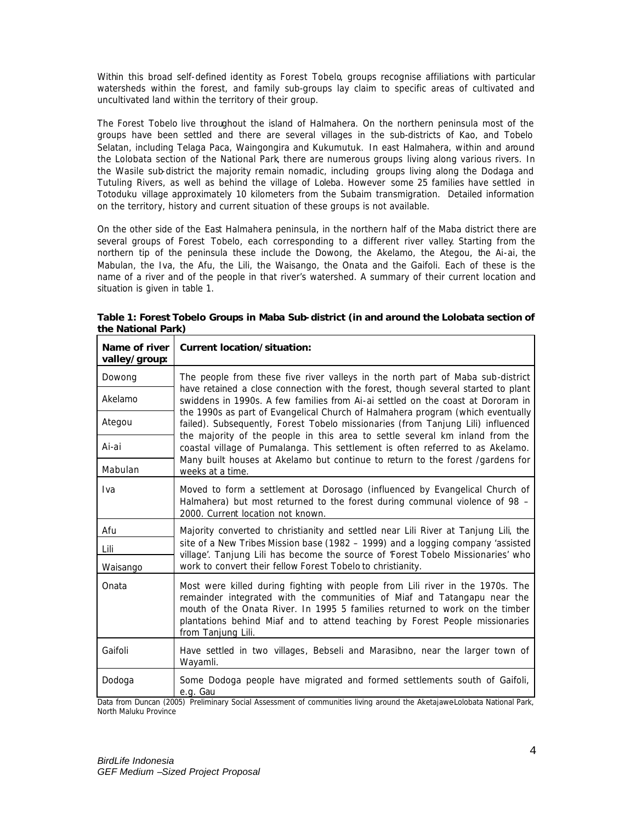Within this broad self-defined identity as Forest Tobelo, groups recognise affiliations with particular watersheds within the forest, and family sub-groups lay claim to specific areas of cultivated and uncultivated land within the territory of their group.

The Forest Tobelo live throughout the island of Halmahera. On the northern peninsula most of the groups have been settled and there are several villages in the sub-districts of Kao, and Tobelo Selatan, including Telaga Paca, Waingongira and Kukumutuk. In east Halmahera, within and around the Lolobata section of the National Park, there are numerous groups living along various rivers. In the Wasile sub-district the majority remain nomadic, including groups living along the Dodaga and Tutuling Rivers, as well as behind the village of Loleba. However some 25 families have settled in Totoduku village approximately 10 kilometers from the Subaim transmigration. Detailed information on the territory, history and current situation of these groups is not available.

On the other side of the East Halmahera peninsula, in the northern half of the Maba district there are several groups of Forest Tobelo, each corresponding to a different river valley. Starting from the northern tip of the peninsula these include the Dowong, the Akelamo, the Ategou, the Ai-ai, the Mabulan, the Iva, the Afu, the Lili, the Waisango, the Onata and the Gaifoli. Each of these is the name of a river and of the people in that river's watershed. A summary of their current location and situation is given in table 1.

| Name of river<br>valley/group: | Current location/situation:                                                                                                                                                                                                                                                                                                                                                                                                                                                                                                                                                                                                                                                                           |  |
|--------------------------------|-------------------------------------------------------------------------------------------------------------------------------------------------------------------------------------------------------------------------------------------------------------------------------------------------------------------------------------------------------------------------------------------------------------------------------------------------------------------------------------------------------------------------------------------------------------------------------------------------------------------------------------------------------------------------------------------------------|--|
| Dowong                         | The people from these five river valleys in the north part of Maba sub-district<br>have retained a close connection with the forest, though several started to plant<br>swiddens in 1990s. A few families from Ai-ai settled on the coast at Dororam in<br>the 1990s as part of Evangelical Church of Halmahera program (which eventually<br>failed). Subsequently, Forest Tobelo missionaries (from Tanjung Lili) influenced<br>the majority of the people in this area to settle several km inland from the<br>coastal village of Pumalanga. This settlement is often referred to as Akelamo.<br>Many built houses at Akelamo but continue to return to the forest /gardens for<br>weeks at a time. |  |
| Akelamo                        |                                                                                                                                                                                                                                                                                                                                                                                                                                                                                                                                                                                                                                                                                                       |  |
| Ategou                         |                                                                                                                                                                                                                                                                                                                                                                                                                                                                                                                                                                                                                                                                                                       |  |
| Ai-ai                          |                                                                                                                                                                                                                                                                                                                                                                                                                                                                                                                                                                                                                                                                                                       |  |
| Mabulan                        |                                                                                                                                                                                                                                                                                                                                                                                                                                                                                                                                                                                                                                                                                                       |  |
| Iva                            | Moved to form a settlement at Dorosago (influenced by Evangelical Church of<br>Halmahera) but most returned to the forest during communal violence of 98 -<br>2000. Current location not known.                                                                                                                                                                                                                                                                                                                                                                                                                                                                                                       |  |
| Afu                            | Majority converted to christianity and settled near Lili River at Tanjung Lili, the<br>site of a New Tribes Mission base (1982 – 1999) and a logging company 'assisted<br>village'. Tanjung Lili has become the source of 'Forest Tobelo Missionaries' who                                                                                                                                                                                                                                                                                                                                                                                                                                            |  |
| Lili                           |                                                                                                                                                                                                                                                                                                                                                                                                                                                                                                                                                                                                                                                                                                       |  |
| Waisango                       | work to convert their fellow Forest Tobelo to christianity.                                                                                                                                                                                                                                                                                                                                                                                                                                                                                                                                                                                                                                           |  |
| Onata                          | Most were killed during fighting with people from Lili river in the 1970s. The<br>remainder integrated with the communities of Miaf and Tatangapu near the<br>mouth of the Onata River. In 1995 5 families returned to work on the timber<br>plantations behind Miaf and to attend teaching by Forest People missionaries<br>from Tanjung Lili.                                                                                                                                                                                                                                                                                                                                                       |  |
| Gaifoli                        | Have settled in two villages, Bebseli and Marasibno, near the larger town of<br>Wayamli.                                                                                                                                                                                                                                                                                                                                                                                                                                                                                                                                                                                                              |  |
| Dodoga                         | Some Dodoga people have migrated and formed settlements south of Gaifoli,<br>e.g. Gau                                                                                                                                                                                                                                                                                                                                                                                                                                                                                                                                                                                                                 |  |

**Table 1: Forest Tobelo Groups in Maba Sub-district (in and around the Lolobata section of the National Park)**

Data from Duncan (2005) Preliminary Social Assessment of communities living around the Aketajawe-Lolobata National Park, North Maluku Province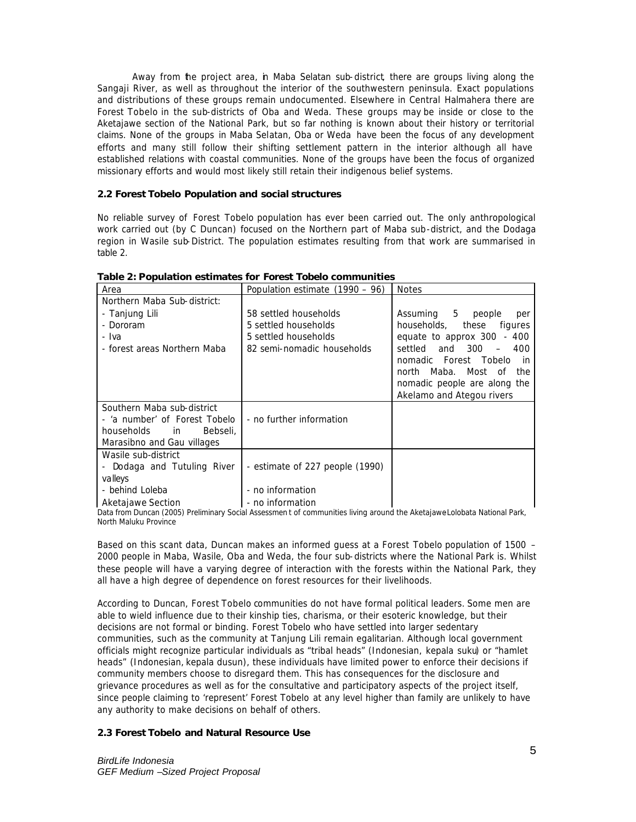Away from the project area, in Maba Selatan sub-district, there are groups living along the Sangaji River, as well as throughout the interior of the southwestern peninsula. Exact populations and distributions of these groups remain undocumented. Elsewhere in Central Halmahera there are Forest Tobelo in the sub-districts of Oba and Weda. These groups may be inside or close to the Aketajawe section of the National Park, but so far nothing is known about their history or territorial claims. None of the groups in Maba Selatan, Oba or Weda have been the focus of any development efforts and many still follow their shifting settlement pattern in the interior although all have established relations with coastal communities. None of the groups have been the focus of organized missionary efforts and would most likely still retain their indigenous belief systems.

## **2.2 Forest Tobelo Population and social structures**

No reliable survey of Forest Tobelo population has ever been carried out. The only anthropological work carried out (by C Duncan) focused on the Northern part of Maba sub-district, and the Dodaga region in Wasile sub-District. The population estimates resulting from that work are summarised in table 2.

| Area                            | Population estimate $(1990 - 96)$ | <b>Notes</b>                 |
|---------------------------------|-----------------------------------|------------------------------|
| Northern Maba Sub-district:     |                                   |                              |
| - Tanjung Lili                  | 58 settled households             | Assuming 5<br>people<br>per  |
| - Dororam                       | 5 settled households              | households,<br>these figures |
| - Iva                           | 5 settled households              | equate to approx 300 - 400   |
| - forest areas Northern Maba    | 82 semi-nomadic households        | and 300<br>settled<br>$-400$ |
|                                 |                                   | nomadic Forest Tobelo<br>in. |
|                                 |                                   | north Maba. Most of<br>the   |
|                                 |                                   | nomadic people are along the |
|                                 |                                   | Akelamo and Ategou rivers    |
| Southern Maba sub-district      |                                   |                              |
| - 'a number' of Forest Tobelo   | - no further information          |                              |
| households<br>Bebseli.<br>in in |                                   |                              |
| Marasibno and Gau villages      |                                   |                              |
| Wasile sub-district             |                                   |                              |
| - Dodaga and Tutuling River     | - estimate of 227 people (1990)   |                              |
| valleys                         |                                   |                              |
| - behind Loleba                 | - no information                  |                              |
| Aketajawe Section               | - no information                  |                              |

**Table 2: Population estimates for Forest Tobelo communities**

Data from Duncan (2005) Preliminary Social Assessment of communities living around the Aketajawe Lolobata National Park, North Maluku Province

Based on this scant data, Duncan makes an informed guess at a Forest Tobelo population of 1500 – 2000 people in Maba, Wasile, Oba and Weda, the four sub-districts where the National Park is. Whilst these people will have a varying degree of interaction with the forests within the National Park, they all have a high degree of dependence on forest resources for their livelihoods.

According to Duncan, Forest Tobelo communities do not have formal political leaders. Some men are able to wield influence due to their kinship ties, charisma, or their esoteric knowledge, but their decisions are not formal or binding. Forest Tobelo who have settled into larger sedentary communities, such as the community at Tanjung Lili remain egalitarian. Although local government officials might recognize particular individuals as "tribal heads" (Indonesian, *kepala suku*) or "hamlet heads" (Indonesian, *kepala dusun*), these individuals have limited power to enforce their decisions if community members choose to disregard them. This has consequences for the disclosure and grievance procedures as well as for the consultative and participatory aspects of the project itself, since people claiming to 'represent' Forest Tobelo at any level higher than family are unlikely to have any authority to make decisions on behalf of others.

## **2.3 Forest Tobelo and Natural Resource Use**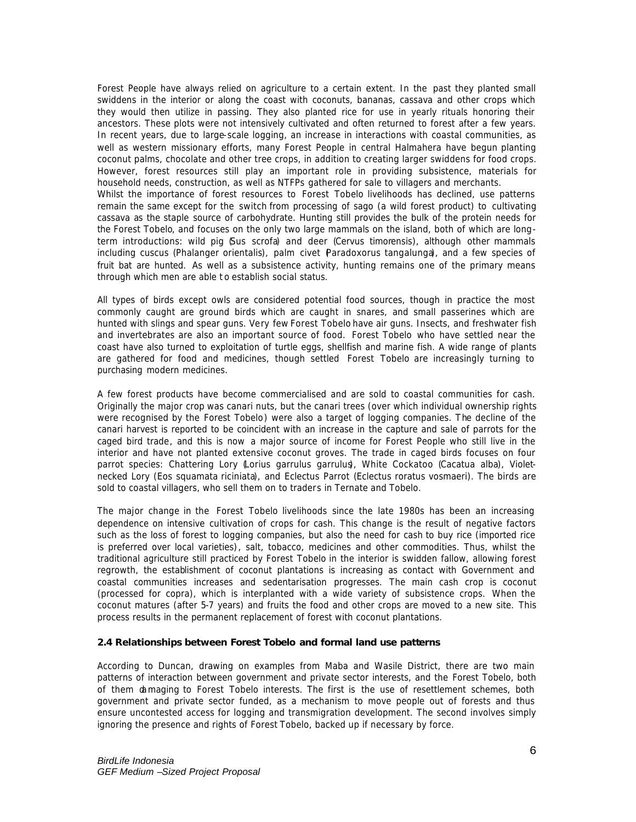Forest People have always relied on agriculture to a certain extent. In the past they planted small swiddens in the interior or along the coast with coconuts, bananas, cassava and other crops which they would then utilize in passing. They also planted rice for use in yearly rituals honoring their ancestors. These plots were not intensively cultivated and often returned to forest after a few years. In recent years, due to large-scale logging, an increase in interactions with coastal communities, as well as western missionary efforts, many Forest People in central Halmahera have begun planting coconut palms, chocolate and other tree crops, in addition to creating larger swiddens for food crops. However, forest resources still play an important role in providing subsistence, materials for household needs, construction, as well as NTFPs gathered for sale to villagers and merchants. Whilst the importance of forest resources to Forest Tobelo livelihoods has declined, use patterns remain the same except for the switch from processing of sago (a wild forest product) to cultivating cassava as the staple source of carbohydrate. Hunting still provides the bulk of the protein needs for the Forest Tobelo, and focuses on the only two large mammals on the island, both of which are longterm introductions: wild pig (*Sus scrofa*) and deer (*Cervus timorensis),* although other mammals including cuscus (*Phalanger orientalis*), palm civet (*Paradoxorus tangalunga*), and a few species of fruit bat are hunted. As well as a subsistence activity, hunting remains one of the primary means through which men are able t o establish social status.

All types of birds except owls are considered potential food sources, though in practice the most commonly caught are ground birds which are caught in snares, and small passerines which are hunted with slings and spear guns. Very few Forest Tobelo have air guns. Insects, and freshwater fish and invertebrates are also an important source of food. Forest Tobelo who have settled near the coast have also turned to exploitation of turtle eggs, shellfish and marine fish. A wide range of plants are gathered for food and medicines, though settled Forest Tobelo are increasingly turning to purchasing modern medicines.

A few forest products have become commercialised and are sold to coastal communities for cash. Originally the major crop was canari nuts, but the canari trees (over which individual ownership rights were recognised by the Forest Tobelo) were also a target of logging companies. The decline of the canari harvest is reported to be coincident with an increase in the capture and sale of parrots for the caged bird trade, and this is now a major source of income for Forest People who still live in the interior and have not planted extensive coconut groves. The trade in caged birds focuses on four parrot species: Chattering Lory (*Lorius garrulus garrulus*), White Cockatoo (*Cacatua alba*), Violetnecked Lory (*Eos squamata riciniata*), and Eclectus Parrot (*Eclectus roratus vosmaeri*). The birds are sold to coastal villagers, who sell them on to traders in Ternate and Tobelo.

The major change in the Forest Tobelo livelihoods since the late 1980s has been an increasing dependence on intensive cultivation of crops for cash. This change is the result of negative factors such as the loss of forest to logging companies, but also the need for cash to buy rice (imported rice is preferred over local varieties), salt, tobacco, medicines and other commodities. Thus, whilst the traditional agriculture still practiced by Forest Tobelo in the interior is swidden fallow, allowing forest regrowth, the establishment of coconut plantations is increasing as contact with Government and coastal communities increases and sedentarisation progresses. The main cash crop is coconut (processed for copra), which is interplanted with a wide variety of subsistence crops. When the coconut matures (after 5-7 years) and fruits the food and other crops are moved to a new site. This process results in the permanent replacement of forest with coconut plantations.

### **2.4 Relationships between Forest Tobelo and formal land use patterns**

According to Duncan, drawing on examples from Maba and Wasile District, there are two main patterns of interaction between government and private sector interests, and the Forest Tobelo, both of them damaging to Forest Tobelo interests. The first is the use of resettlement schemes, both government and private sector funded, as a mechanism to move people out of forests and thus ensure uncontested access for logging and transmigration development. The second involves simply ignoring the presence and rights of Forest Tobelo, backed up if necessary by force.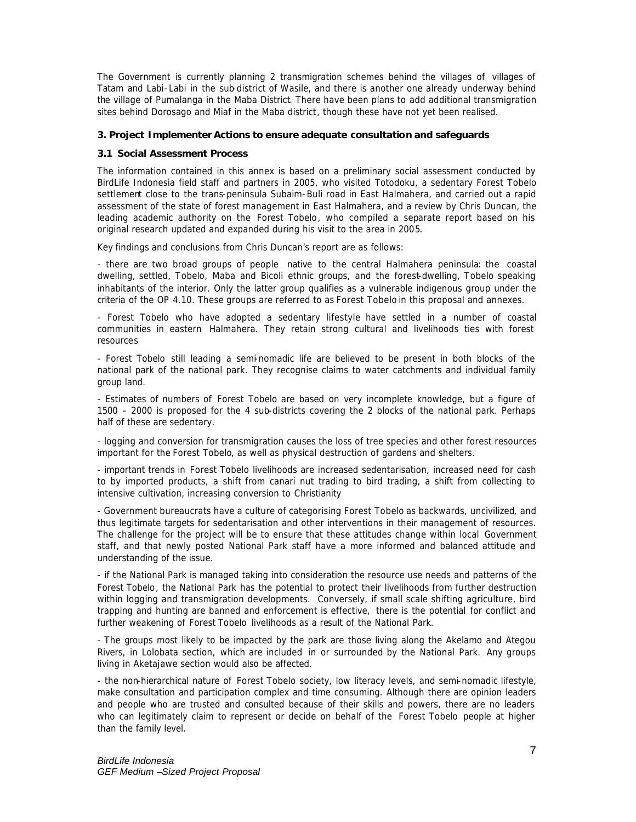The Government is currently planning 2 transmigration schemes behind the villages of villages of Tatam and Labi- Labi in the sub-district of Wasile, and there is another one already underway behind the village of Pumalanga in the Maba District. There have been plans to add additional transmigration sites behind Dorosago and Miaf in the Maba district, though these have not yet been realised.

#### **3. Project Implementer Actions to ensure adequate consultation and safeguards**

#### **3.1 Social Assessment Process**

The information contained in this annex is based on a preliminary social assessment conducted by BirdLife Indonesia field staff and partners in 2005, who visited Totodoku, a sedentary Forest Tobelo settlement close to the trans-peninsula Subaim-Buli road in East Halmahera, and carried out a rapid assessment of the state of forest management in East Halmahera, and a review by Chris Duncan, the leading academic authority on the Forest Tobelo, who compiled a separate report based on his original research updated and expanded during his visit to the area in 2005.

Key findings and conclusions from Chris Duncan's report are as follows:

- there are two broad groups of people native to the central Halmahera peninsula: the coastal dwelling, settled, Tobelo, Maba and Bicoli ethnic groups, and the forest-dwelling, Tobelo speaking inhabitants of the interior. Only the latter group qualifies as a vulnerable indigenous group under the criteria of the OP 4.10. These groups are referred to as Forest Tobelo in this proposal and annexes.

- Forest Tobelo who have adopted a sedentary lifestyle have settled in a number of coastal communities in eastern Halmahera. They retain strong cultural and livelihoods ties with forest resources

- Forest Tobelo still leading a semi-nomadic life are believed to be present in both blocks of the national park of the national park. They recognise claims to water catchments and individual family group land.

- Estimates of numbers of Forest Tobelo are based on very incomplete knowledge, but a figure of 1500 – 2000 is proposed for the 4 sub-districts covering the 2 blocks of the national park. Perhaps half of these are sedentary.

- logging and conversion for transmigration causes the loss of tree species and other forest resources important for the Forest Tobelo, as well as physical destruction of gardens and shelters.

- important trends in Forest Tobelo livelihoods are increased sedentarisation, increased need for cash to by imported products, a shift from canari nut trading to bird trading, a shift from collecting to intensive cultivation, increasing conversion to Christianity

- Government bureaucrats have a culture of categorising Forest Tobelo as backwards, uncivilized, and thus legitimate targets for sedentarisation and other interventions in their management of resources. The challenge for the project will be to ensure that these attitudes change within local Government staff, and that newly posted National Park staff have a more informed and balanced attitude and understanding of the issue.

- if the National Park is managed taking into consideration the resource use needs and patterns of the Forest Tobelo, the National Park has the potential to protect their livelihoods from further destruction within logging and transmigration developments. Conversely, if small scale shifting agriculture, bird trapping and hunting are banned and enforcement is effective, there is the potential for conflict and further weakening of Forest Tobelo livelihoods as a result of the National Park.

- The groups most likely to be impacted by the park are those living along the Akelamo and Ategou Rivers, in Lolobata section, which are included in or surrounded by the National Park. Any groups living in Aketajawe section would also be affected.

- the non-hierarchical nature of Forest Tobelo society, low literacy levels, and semi-nomadic lifestyle, make consultation and participation complex and time consuming. Although there are opinion leaders and people who are trusted and consulted because of their skills and powers, there are no leaders who can legitimately claim to represent or decide on behalf of the Forest Tobelo people at higher than the family level.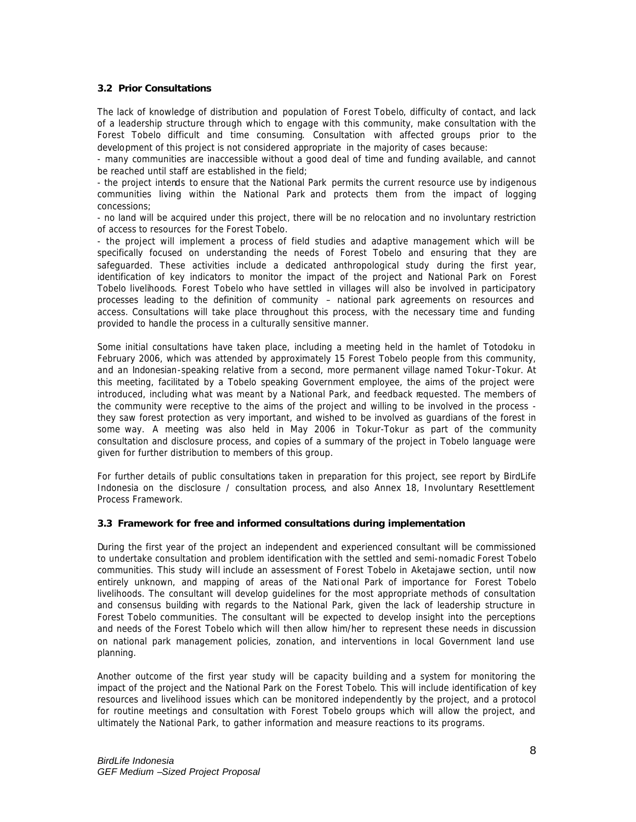# **3.2 Prior Consultations**

The lack of knowledge of distribution and population of Forest Tobelo, difficulty of contact, and lack of a leadership structure through which to engage with this community, make consultation with the Forest Tobelo difficult and time consuming. Consultation with affected groups prior to the development of this project is not considered appropriate in the majority of cases because:

- many communities are inaccessible without a good deal of time and funding available, and cannot be reached until staff are established in the field;

- the project intends to ensure that the National Park permits the current resource use by indigenous communities living within the National Park and protects them from the impact of logging concessions;

- no land will be acquired under this project, there will be no relocation and no involuntary restriction of access to resources for the Forest Tobelo.

- the project will implement a process of field studies and adaptive management which will be specifically focused on understanding the needs of Forest Tobelo and ensuring that they are safeguarded. These activities include a dedicated anthropological study during the first year, identification of key indicators to monitor the impact of the project and National Park on Forest Tobelo livelihoods. Forest Tobelo who have settled in villages will also be involved in participatory processes leading to the definition of community – national park agreements on resources and access. Consultations will take place throughout this process, with the necessary time and funding provided to handle the process in a culturally sensitive manner.

Some initial consultations have taken place, including a meeting held in the hamlet of Totodoku in February 2006, which was attended by approximately 15 Forest Tobelo people from this community, and an Indonesian-speaking relative from a second, more permanent village named Tokur-Tokur. At this meeting, facilitated by a Tobelo speaking Government employee, the aims of the project were introduced, including what was meant by a National Park, and feedback requested. The members of the community were receptive to the aims of the project and willing to be involved in the process they saw forest protection as very important, and wished to be involved as guardians of the forest in some way. A meeting was also held in May 2006 in Tokur-Tokur as part of the community consultation and disclosure process, and copies of a summary of the project in Tobelo language were given for further distribution to members of this group.

For further details of public consultations taken in preparation for this project, see report by BirdLife Indonesia on the disclosure / consultation process, and also Annex 18, Involuntary Resettlement Process Framework.

### **3.3 Framework for free and informed consultations during implementation**

During the first year of the project an independent and experienced consultant will be commissioned to undertake consultation and problem identification with the settled and semi-nomadic Forest Tobelo communities. This study will include an assessment of Forest Tobelo in Aketajawe section, until now entirely unknown, and mapping of areas of the National Park of importance for Forest Tobelo livelihoods. The consultant will develop guidelines for the most appropriate methods of consultation and consensus building with regards to the National Park, given the lack of leadership structure in Forest Tobelo communities. The consultant will be expected to develop insight into the perceptions and needs of the Forest Tobelo which will then allow him/her to represent these needs in discussion on national park management policies, zonation, and interventions in local Government land use planning.

Another outcome of the first year study will be capacity building and a system for monitoring the impact of the project and the National Park on the Forest Tobelo. This will include identification of key resources and livelihood issues which can be monitored independently by the project, and a protocol for routine meetings and consultation with Forest Tobelo groups which will allow the project, and ultimately the National Park, to gather information and measure reactions to its programs.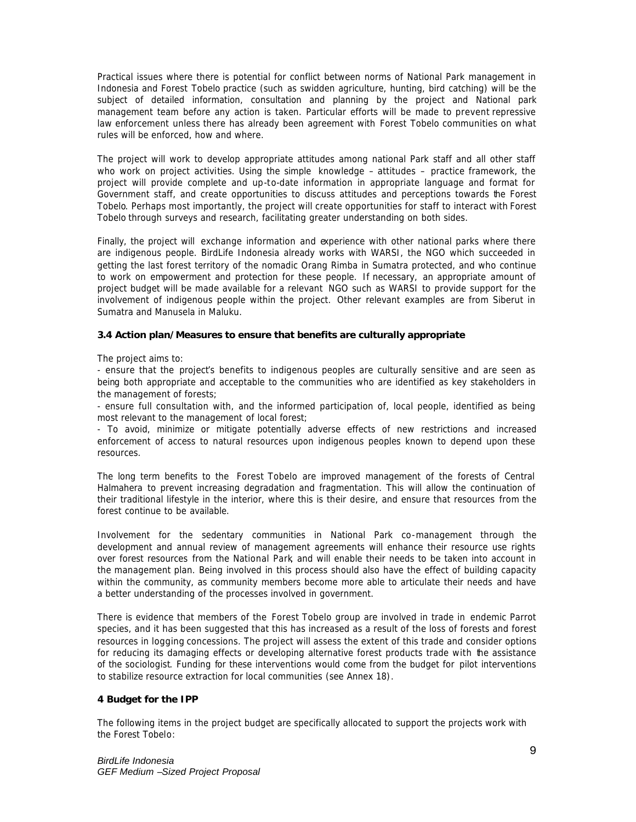Practical issues where there is potential for conflict between norms of National Park management in Indonesia and Forest Tobelo practice (such as swidden agriculture, hunting, bird catching) will be the subject of detailed information, consultation and planning by the project and National park management team before any action is taken. Particular efforts will be made to prevent repressive law enforcement unless there has already been agreement with Forest Tobelo communities on what rules will be enforced, how and where.

The project will work to develop appropriate attitudes among national Park staff and all other staff who work on project activities. Using the simple knowledge – attitudes – practice framework, the project will provide complete and up-to-date information in appropriate language and format for Government staff, and create opportunities to discuss attitudes and perceptions towards the Forest Tobelo. Perhaps most importantly, the project will create opportunities for staff to interact with Forest Tobelo through surveys and research, facilitating greater understanding on both sides.

Finally, the project will exchange information and experience with other national parks where there are indigenous people. BirdLife Indonesia already works with WARSI, the NGO which succeeded in getting the last forest territory of the nomadic Orang Rimba in Sumatra protected, and who continue to work on empowerment and protection for these people. If necessary, an appropriate amount of project budget will be made available for a relevant NGO such as WARSI to provide support for the involvement of indigenous people within the project. Other relevant examples are from Siberut in Sumatra and Manusela in Maluku.

### **3.4 Action plan/Measures to ensure that benefits are culturally appropriate**

The project aims to:

- ensure that the project's benefits to indigenous peoples are culturally sensitive and are seen as being both appropriate and acceptable to the communities who are identified as key stakeholders in the management of forests;

- ensure full consultation with, and the informed participation of, local people, identified as being most relevant to the management of local forest;

- To avoid, minimize or mitigate potentially adverse effects of new restrictions and increased enforcement of access to natural resources upon indigenous peoples known to depend upon these resources.

The long term benefits to the Forest Tobelo are improved management of the forests of Central Halmahera to prevent increasing degradation and fragmentation. This will allow the continuation of their traditional lifestyle in the interior, where this is their desire, and ensure that resources from the forest continue to be available.

Involvement for the sedentary communities in National Park co-management through the development and annual review of management agreements will enhance their resource use rights over forest resources from the National Park, and will enable their needs to be taken into account in the management plan. Being involved in this process should also have the effect of building capacity within the community, as community members become more able to articulate their needs and have a better understanding of the processes involved in government.

There is evidence that members of the Forest Tobelo group are involved in trade in endemic Parrot species, and it has been suggested that this has increased as a result of the loss of forests and forest resources in logging concessions. The project will assess the extent of this trade and consider options for reducing its damaging effects or developing alternative forest products trade with the assistance of the sociologist. Funding for these interventions would come from the budget for pilot interventions to stabilize resource extraction for local communities (see Annex 18).

#### **4 Budget for the IPP**

The following items in the project budget are specifically allocated to support the projects work with the Forest Tobelo: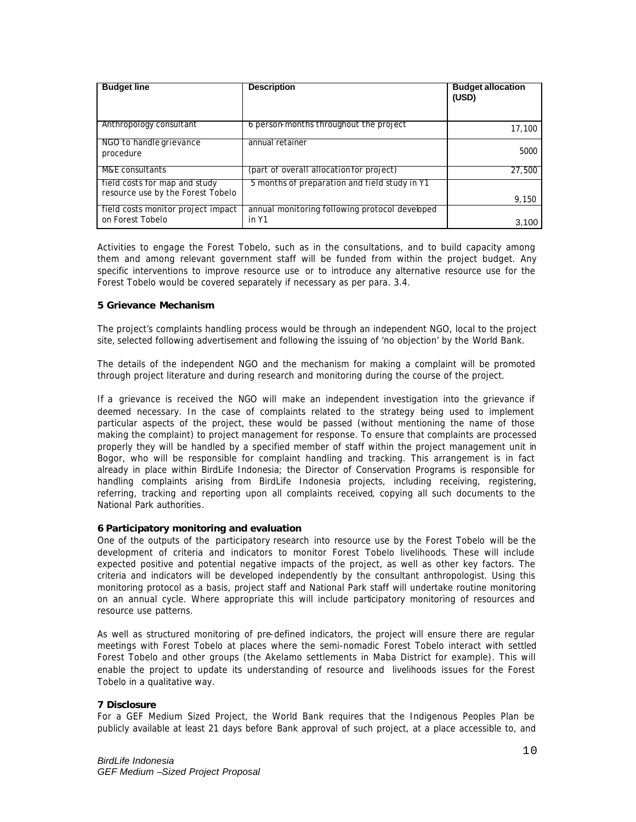| <b>Budget line</b>                                                 | <b>Description</b>                                      | <b>Budget allocation</b><br>(USD) |
|--------------------------------------------------------------------|---------------------------------------------------------|-----------------------------------|
| Anthropology consultant                                            | 6 person-months throughout the project                  | 17,100                            |
| NGO to handle grievance<br>procedure                               | annual retainer                                         | 5000                              |
| M&E consultants                                                    | (part of overall allocation for project)                | 27,500                            |
| field costs for map and study<br>resource use by the Forest Tobelo | 5 months of preparation and field study in Y1           | 9,150                             |
| field costs monitor project impact<br>on Forest Tobelo             | annual monitoring following protocol developed<br>in Y1 | 3,100                             |

Activities to engage the Forest Tobelo, such as in the consultations, and to build capacity among them and among relevant government staff will be funded from within the project budget. Any specific interventions to improve resource use or to introduce any alternative resource use for the Forest Tobelo would be covered separately if necessary as per para. 3.4.

# **5 Grievance Mechanism**

The project's complaints handling process would be through an independent NGO, local to the project site, selected following advertisement and following the issuing of 'no objection' by the World Bank.

The details of the independent NGO and the mechanism for making a complaint will be promoted through project literature and during research and monitoring during the course of the project.

If a grievance is received the NGO will make an independent investigation into the grievance if deemed necessary. In the case of complaints related to the strategy being used to implement particular aspects of the project, these would be passed (without mentioning the name of those making the complaint) to project management for response. To ensure that complaints are processed properly they will be handled by a specified member of staff within the project management unit in Bogor, who will be responsible for complaint handling and tracking. This arrangement is in fact already in place within BirdLife Indonesia; the Director of Conservation Programs is responsible for handling complaints arising from BirdLife Indonesia projects, including receiving, registering, referring, tracking and reporting upon all complaints received, copying all such documents to the National Park authorities.

### **6 Participatory monitoring and evaluation**

One of the outputs of the participatory research into resource use by the Forest Tobelo will be the development of criteria and indicators to monitor Forest Tobelo livelihoods. These will include expected positive and potential negative impacts of the project, as well as other key factors. The criteria and indicators will be developed independently by the consultant anthropologist. Using this monitoring protocol as a basis, project staff and National Park staff will undertake routine monitoring on an annual cycle. Where appropriate this will include participatory monitoring of resources and resource use patterns.

As well as structured monitoring of pre-defined indicators, the project will ensure there are regular meetings with Forest Tobelo at places where the semi-nomadic Forest Tobelo interact with settled Forest Tobelo and other groups (the Akelamo settlements in Maba District for example). This will enable the project to update its understanding of resource and livelihoods issues for the Forest Tobelo in a qualitative way.

## **7 Disclosure**

For a GEF Medium Sized Project, the World Bank requires that the Indigenous Peoples Plan be publicly available at least 21 days before Bank approval of such project, at a place accessible to, and